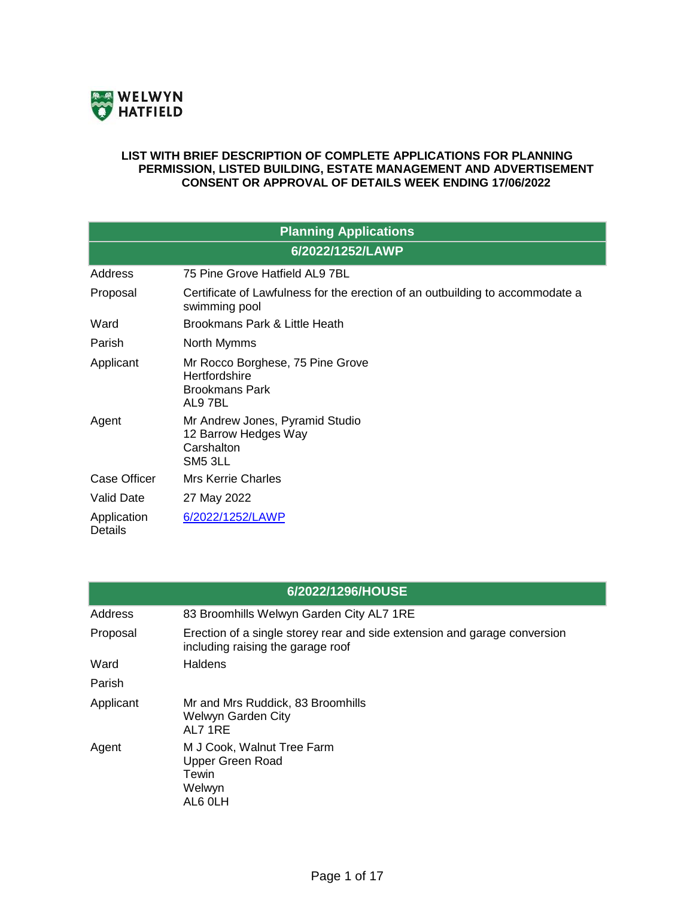

## **LIST WITH BRIEF DESCRIPTION OF COMPLETE APPLICATIONS FOR PLANNING PERMISSION, LISTED BUILDING, ESTATE MANAGEMENT AND ADVERTISEMENT CONSENT OR APPROVAL OF DETAILS WEEK ENDING 17/06/2022**

| <b>Planning Applications</b>  |                                                                                                |  |
|-------------------------------|------------------------------------------------------------------------------------------------|--|
| 6/2022/1252/LAWP              |                                                                                                |  |
| Address                       | 75 Pine Grove Hatfield AL9 7BL                                                                 |  |
| Proposal                      | Certificate of Lawfulness for the erection of an outbuilding to accommodate a<br>swimming pool |  |
| Ward                          | Brookmans Park & Little Heath                                                                  |  |
| Parish                        | North Mymms                                                                                    |  |
| Applicant                     | Mr Rocco Borghese, 75 Pine Grove<br>Hertfordshire<br><b>Brookmans Park</b><br>AL9 7BL          |  |
| Agent                         | Mr Andrew Jones, Pyramid Studio<br>12 Barrow Hedges Way<br>Carshalton<br>SM <sub>5</sub> 3LL   |  |
| <b>Case Officer</b>           | Mrs Kerrie Charles                                                                             |  |
| <b>Valid Date</b>             | 27 May 2022                                                                                    |  |
| Application<br><b>Details</b> | 6/2022/1252/LAWP                                                                               |  |

| 6/2022/1296/HOUSE |                                                                                                                |  |
|-------------------|----------------------------------------------------------------------------------------------------------------|--|
| Address           | 83 Broomhills Welwyn Garden City AL7 1RE                                                                       |  |
| Proposal          | Erection of a single storey rear and side extension and garage conversion<br>including raising the garage roof |  |
| Ward              | <b>Haldens</b>                                                                                                 |  |
| Parish            |                                                                                                                |  |
| Applicant         | Mr and Mrs Ruddick, 83 Broomhills<br><b>Welwyn Garden City</b><br>AL7 1RE                                      |  |
| Agent             | M J Cook, Walnut Tree Farm<br><b>Upper Green Road</b><br>Tewin<br>Welwyn<br>AL6 OLH                            |  |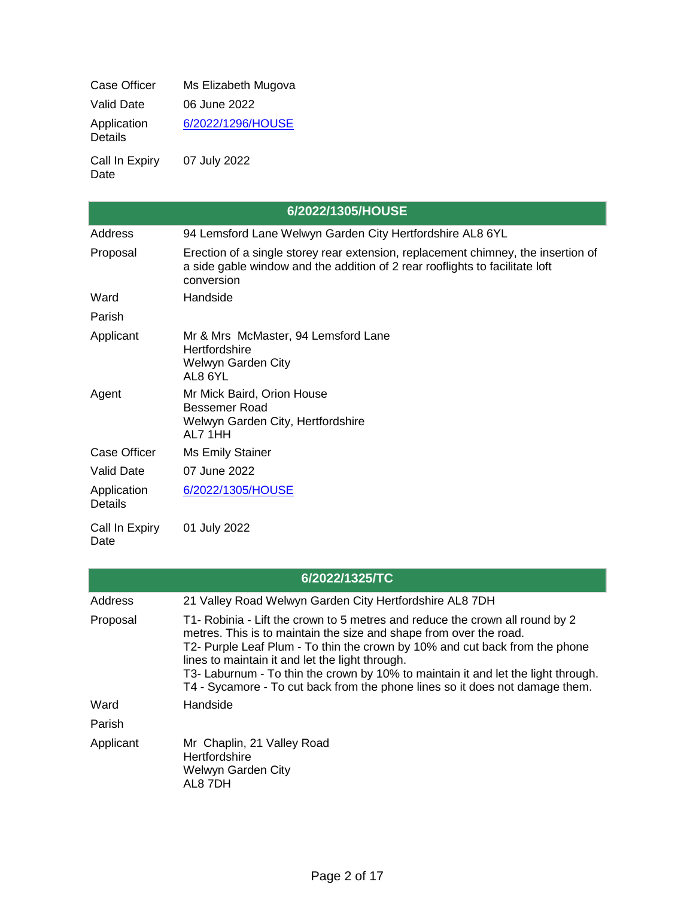| <b>Case Officer</b>           | Ms Elizabeth Mugova |
|-------------------------------|---------------------|
| Valid Date                    | 06 June 2022        |
| Application<br><b>Details</b> | 6/2022/1296/HOUSE   |
| Call In Expiry<br>Date        | 07 July 2022        |

|                               | 6/2022/1305/HOUSE                                                                                                                                                               |
|-------------------------------|---------------------------------------------------------------------------------------------------------------------------------------------------------------------------------|
| Address                       | 94 Lemsford Lane Welwyn Garden City Hertfordshire AL8 6YL                                                                                                                       |
| Proposal                      | Erection of a single storey rear extension, replacement chimney, the insertion of<br>a side gable window and the addition of 2 rear rooflights to facilitate loft<br>conversion |
| Ward                          | Handside                                                                                                                                                                        |
| Parish                        |                                                                                                                                                                                 |
| Applicant                     | Mr & Mrs McMaster, 94 Lemsford Lane<br>Hertfordshire<br><b>Welwyn Garden City</b><br>AL8 6YL                                                                                    |
| Agent                         | Mr Mick Baird, Orion House<br><b>Bessemer Road</b><br>Welwyn Garden City, Hertfordshire<br><b>AI 7 1HH</b>                                                                      |
| <b>Case Officer</b>           | Ms Emily Stainer                                                                                                                                                                |
| <b>Valid Date</b>             | 07 June 2022                                                                                                                                                                    |
| Application<br><b>Details</b> | 6/2022/1305/HOUSE                                                                                                                                                               |
| Call In Expiry<br>Date        | 01 July 2022                                                                                                                                                                    |

| 6/2022/1325/TC |                                                                                                                                                                                                                                                                                                                                                                                                                                                           |  |
|----------------|-----------------------------------------------------------------------------------------------------------------------------------------------------------------------------------------------------------------------------------------------------------------------------------------------------------------------------------------------------------------------------------------------------------------------------------------------------------|--|
| <b>Address</b> | 21 Valley Road Welwyn Garden City Hertfordshire AL8 7DH                                                                                                                                                                                                                                                                                                                                                                                                   |  |
| Proposal       | T1- Robinia - Lift the crown to 5 metres and reduce the crown all round by 2<br>metres. This is to maintain the size and shape from over the road.<br>T2- Purple Leaf Plum - To thin the crown by 10% and cut back from the phone<br>lines to maintain it and let the light through.<br>T3- Laburnum - To thin the crown by 10% to maintain it and let the light through.<br>T4 - Sycamore - To cut back from the phone lines so it does not damage them. |  |
| Ward           | Handside                                                                                                                                                                                                                                                                                                                                                                                                                                                  |  |
| Parish         |                                                                                                                                                                                                                                                                                                                                                                                                                                                           |  |
| Applicant      | Mr Chaplin, 21 Valley Road<br>Hertfordshire<br>Welwyn Garden City<br>AL8 7DH                                                                                                                                                                                                                                                                                                                                                                              |  |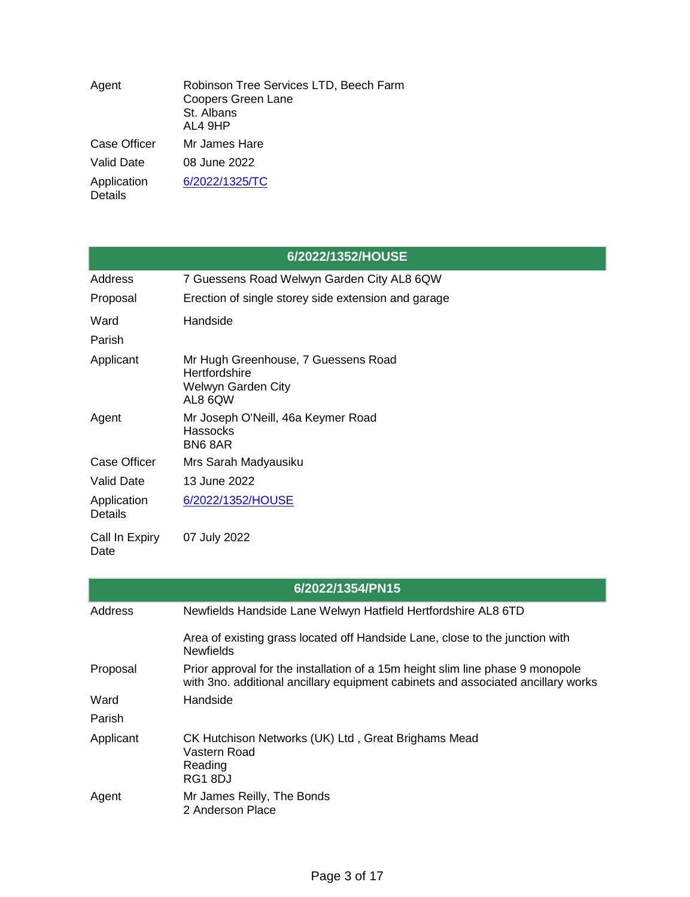| Agent                         | Robinson Tree Services LTD, Beech Farm<br><b>Coopers Green Lane</b><br>St. Albans<br>AL4 9HP |
|-------------------------------|----------------------------------------------------------------------------------------------|
| <b>Case Officer</b>           | Mr James Hare                                                                                |
| <b>Valid Date</b>             | 08 June 2022                                                                                 |
| Application<br><b>Details</b> | 6/2022/1325/TC                                                                               |

|                        | 6/2022/1352/HOUSE                                                                     |
|------------------------|---------------------------------------------------------------------------------------|
| Address                | 7 Guessens Road Welwyn Garden City AL8 6QW                                            |
| Proposal               | Erection of single storey side extension and garage                                   |
| Ward                   | Handside                                                                              |
| Parish                 |                                                                                       |
| Applicant              | Mr Hugh Greenhouse, 7 Guessens Road<br>Hertfordshire<br>Welwyn Garden City<br>AL8 6QW |
| Agent                  | Mr Joseph O'Neill, 46a Keymer Road<br><b>Hassocks</b><br>BN68AR                       |
| <b>Case Officer</b>    | Mrs Sarah Madyausiku                                                                  |
| <b>Valid Date</b>      | 13 June 2022                                                                          |
| Application<br>Details | 6/2022/1352/HOUSE                                                                     |
| Call In Expiry<br>Date | 07 July 2022                                                                          |

| 6/2022/1354/PN15 |                                                                                                                                                                    |  |
|------------------|--------------------------------------------------------------------------------------------------------------------------------------------------------------------|--|
| Address          | Newfields Handside Lane Welwyn Hatfield Hertfordshire AL8 6TD                                                                                                      |  |
|                  | Area of existing grass located off Handside Lane, close to the junction with<br><b>Newfields</b>                                                                   |  |
| Proposal         | Prior approval for the installation of a 15m height slim line phase 9 monopole<br>with 3no. additional ancillary equipment cabinets and associated ancillary works |  |
| Ward             | Handside                                                                                                                                                           |  |
| Parish           |                                                                                                                                                                    |  |
| Applicant        | CK Hutchison Networks (UK) Ltd, Great Brighams Mead<br>Vastern Road<br>Reading<br>RG18DJ                                                                           |  |
| Agent            | Mr James Reilly, The Bonds<br>2 Anderson Place                                                                                                                     |  |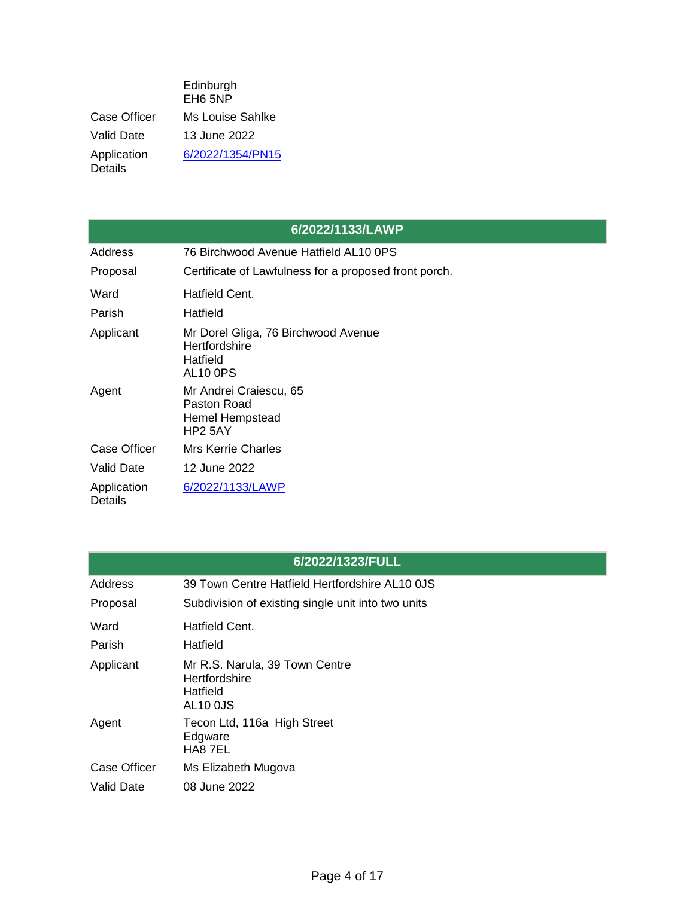|                               | Edinburgh<br>EH <sub>6</sub> 5NP |
|-------------------------------|----------------------------------|
| Case Officer                  | Ms Louise Sahlke                 |
| Valid Date                    | 13 June 2022                     |
| Application<br><b>Details</b> | 6/2022/1354/PN15                 |

|                               | 6/2022/1133/LAWP                                                                         |
|-------------------------------|------------------------------------------------------------------------------------------|
| Address                       | 76 Birchwood Avenue Hatfield AL10 0PS                                                    |
| Proposal                      | Certificate of Lawfulness for a proposed front porch.                                    |
| Ward                          | Hatfield Cent.                                                                           |
| Parish                        | Hatfield                                                                                 |
| Applicant                     | Mr Dorel Gliga, 76 Birchwood Avenue<br>Hertfordshire<br>Hatfield<br>AL <sub>10</sub> OPS |
| Agent                         | Mr Andrei Craiescu, 65<br>Paston Road<br><b>Hemel Hempstead</b><br>HP2 5AY               |
| <b>Case Officer</b>           | Mrs Kerrie Charles                                                                       |
| Valid Date                    | 12 June 2022                                                                             |
| Application<br><b>Details</b> | 6/2022/1133/LAWP                                                                         |

| Address      | 39 Town Centre Hatfield Hertfordshire AL10 0JS                                 |
|--------------|--------------------------------------------------------------------------------|
| Proposal     | Subdivision of existing single unit into two units                             |
| Ward         | Hatfield Cent.                                                                 |
| Parish       | Hatfield                                                                       |
| Applicant    | Mr R.S. Narula, 39 Town Centre<br>Hertfordshire<br>Hatfield<br><b>AL10 0JS</b> |
| Agent        | Tecon Ltd, 116a High Street<br>Edgware<br>HA8 7EL                              |
| Case Officer | Ms Elizabeth Mugova                                                            |
| Valid Date   | 08 June 2022                                                                   |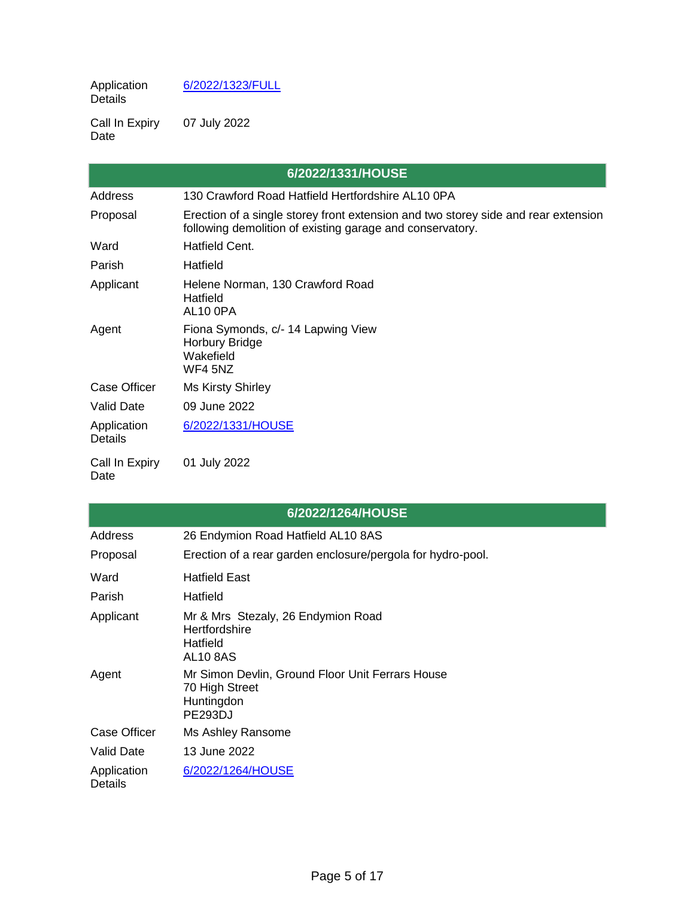Application Details [6/2022/1323/FULL](https://planning.welhat.gov.uk/planning/display/6/2022/1323/FULL)

Call In Expiry Date 07 July 2022

|                               | 6/2022/1331/HOUSE                                                                                                                               |
|-------------------------------|-------------------------------------------------------------------------------------------------------------------------------------------------|
| Address                       | 130 Crawford Road Hatfield Hertfordshire AL10 0PA                                                                                               |
| Proposal                      | Erection of a single storey front extension and two storey side and rear extension<br>following demolition of existing garage and conservatory. |
| Ward                          | Hatfield Cent.                                                                                                                                  |
| Parish                        | Hatfield                                                                                                                                        |
| Applicant                     | Helene Norman, 130 Crawford Road<br>Hatfield<br>AL10 OPA                                                                                        |
| Agent                         | Fiona Symonds, c/- 14 Lapwing View<br><b>Horbury Bridge</b><br>Wakefield<br>WF4 5NZ                                                             |
| <b>Case Officer</b>           | <b>Ms Kirsty Shirley</b>                                                                                                                        |
| <b>Valid Date</b>             | 09 June 2022                                                                                                                                    |
| Application<br><b>Details</b> | 6/2022/1331/HOUSE                                                                                                                               |
| Call In Expiry<br>Date        | 01 July 2022                                                                                                                                    |

e<br>Se

|                        | 6/2022/1264/HOUSE                                                                                  |
|------------------------|----------------------------------------------------------------------------------------------------|
| Address                | 26 Endymion Road Hatfield AL10 8AS                                                                 |
| Proposal               | Erection of a rear garden enclosure/pergola for hydro-pool.                                        |
| Ward<br>Parish         | <b>Hatfield East</b><br>Hatfield                                                                   |
| Applicant              | Mr & Mrs Stezaly, 26 Endymion Road<br>Hertfordshire<br>Hatfield<br><b>AL10 8AS</b>                 |
| Agent                  | Mr Simon Devlin, Ground Floor Unit Ferrars House<br>70 High Street<br>Huntingdon<br><b>PE293DJ</b> |
| Case Officer           | Ms Ashley Ransome                                                                                  |
| <b>Valid Date</b>      | 13 June 2022                                                                                       |
| Application<br>Details | 6/2022/1264/HOUSE                                                                                  |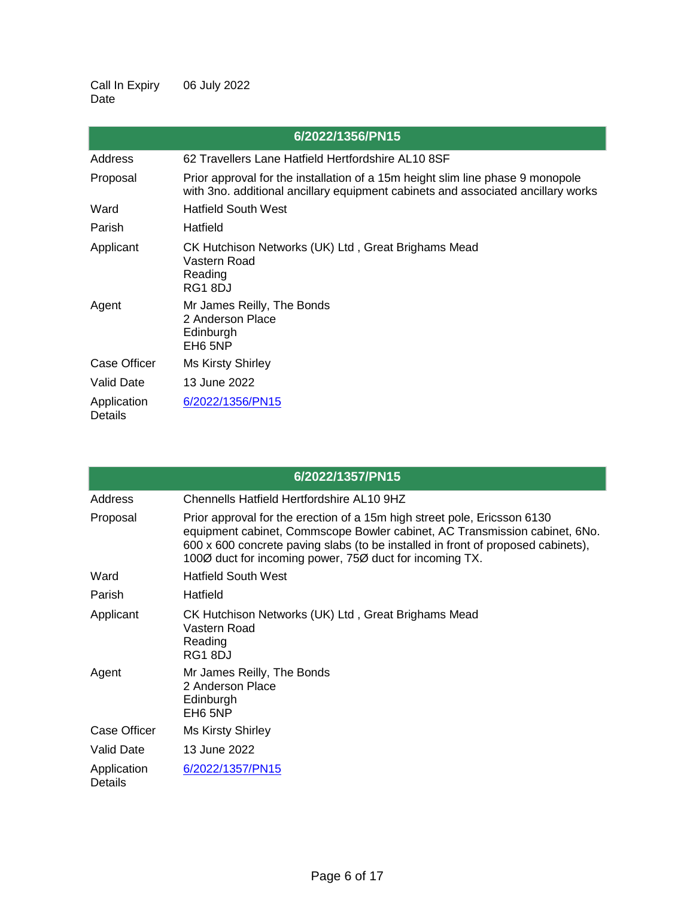Call In Expiry Date 06 July 2022

|                        | 6/2022/1356/PN15                                                                                                                                                   |
|------------------------|--------------------------------------------------------------------------------------------------------------------------------------------------------------------|
| Address                | 62 Travellers Lane Hatfield Hertfordshire AL10 8SF                                                                                                                 |
| Proposal               | Prior approval for the installation of a 15m height slim line phase 9 monopole<br>with 3no. additional ancillary equipment cabinets and associated ancillary works |
| Ward                   | <b>Hatfield South West</b>                                                                                                                                         |
| Parish                 | Hatfield                                                                                                                                                           |
| Applicant              | CK Hutchison Networks (UK) Ltd, Great Brighams Mead<br>Vastern Road<br>Reading<br>RG18DJ                                                                           |
| Agent                  | Mr James Reilly, The Bonds<br>2 Anderson Place<br>Edinburgh<br>EH <sub>6</sub> 5NP                                                                                 |
| <b>Case Officer</b>    | <b>Ms Kirsty Shirley</b>                                                                                                                                           |
| <b>Valid Date</b>      | 13 June 2022                                                                                                                                                       |
| Application<br>Details | 6/2022/1356/PN15                                                                                                                                                   |

|                               | 6/2022/1357/PN15                                                                                                                                                                                                                                                                                      |
|-------------------------------|-------------------------------------------------------------------------------------------------------------------------------------------------------------------------------------------------------------------------------------------------------------------------------------------------------|
| Address                       | Chennells Hatfield Hertfordshire AL 10 9HZ                                                                                                                                                                                                                                                            |
| Proposal                      | Prior approval for the erection of a 15m high street pole, Ericsson 6130<br>equipment cabinet, Commscope Bowler cabinet, AC Transmission cabinet, 6No.<br>600 x 600 concrete paving slabs (to be installed in front of proposed cabinets),<br>1000 duct for incoming power, 750 duct for incoming TX. |
| Ward                          | <b>Hatfield South West</b>                                                                                                                                                                                                                                                                            |
| Parish                        | Hatfield                                                                                                                                                                                                                                                                                              |
| Applicant                     | CK Hutchison Networks (UK) Ltd, Great Brighams Mead<br>Vastern Road<br>Reading<br>RG18DJ                                                                                                                                                                                                              |
| Agent                         | Mr James Reilly, The Bonds<br>2 Anderson Place<br>Edinburgh<br>EH <sub>6</sub> 5NP                                                                                                                                                                                                                    |
| <b>Case Officer</b>           | <b>Ms Kirsty Shirley</b>                                                                                                                                                                                                                                                                              |
| Valid Date                    | 13 June 2022                                                                                                                                                                                                                                                                                          |
| Application<br><b>Details</b> | 6/2022/1357/PN15                                                                                                                                                                                                                                                                                      |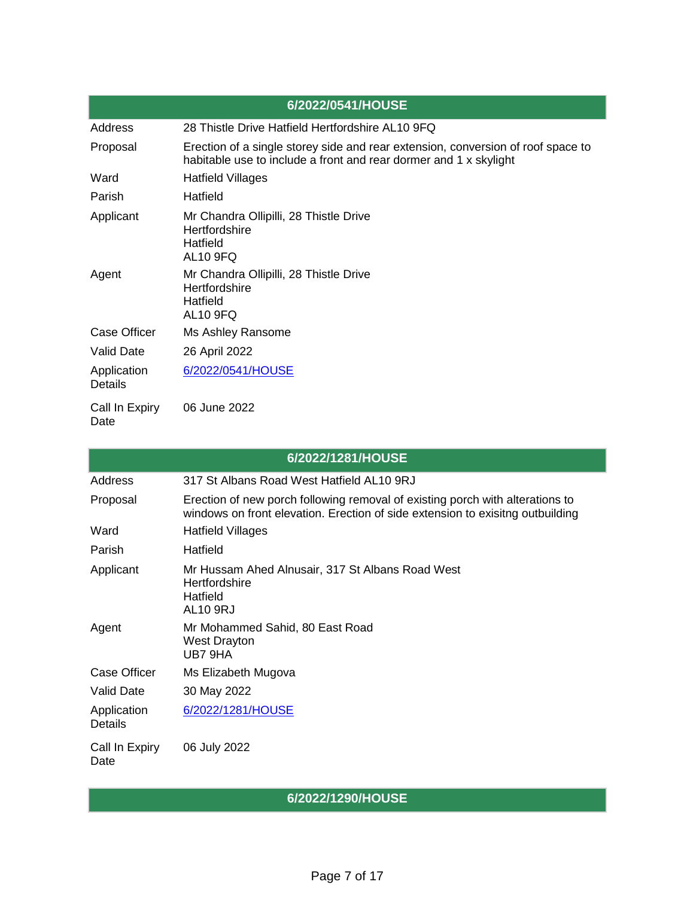|                               | 6/2022/0541/HOUSE                                                                                                                                     |
|-------------------------------|-------------------------------------------------------------------------------------------------------------------------------------------------------|
| Address                       | 28 Thistle Drive Hatfield Hertfordshire AL10 9FQ                                                                                                      |
| Proposal                      | Erection of a single storey side and rear extension, conversion of roof space to<br>habitable use to include a front and rear dormer and 1 x skylight |
| Ward                          | Hatfield Villages                                                                                                                                     |
| Parish                        | Hatfield                                                                                                                                              |
| Applicant                     | Mr Chandra Ollipilli, 28 Thistle Drive<br>Hertfordshire<br>Hatfield<br><b>AL10 9FQ</b>                                                                |
| Agent                         | Mr Chandra Ollipilli, 28 Thistle Drive<br><b>Hertfordshire</b><br><b>Hatfield</b><br><b>AL10 9FQ</b>                                                  |
| <b>Case Officer</b>           | Ms Ashley Ransome                                                                                                                                     |
| <b>Valid Date</b>             | 26 April 2022                                                                                                                                         |
| Application<br><b>Details</b> | 6/2022/0541/HOUSE                                                                                                                                     |
| Call In Expiry<br>Date        | 06 June 2022                                                                                                                                          |

|                               | 6/2022/1281/HOUSE                                                                                                                                               |
|-------------------------------|-----------------------------------------------------------------------------------------------------------------------------------------------------------------|
| Address                       | 317 St Albans Road West Hatfield AL10 9RJ                                                                                                                       |
| Proposal                      | Erection of new porch following removal of existing porch with alterations to<br>windows on front elevation. Erection of side extension to exisitng outbuilding |
| Ward                          | <b>Hatfield Villages</b>                                                                                                                                        |
| Parish                        | Hatfield                                                                                                                                                        |
| Applicant                     | Mr Hussam Ahed Alnusair, 317 St Albans Road West<br>Hertfordshire<br>Hatfield<br><b>AL10 9RJ</b>                                                                |
| Agent                         | Mr Mohammed Sahid, 80 East Road<br>West Drayton<br>UB7 9HA                                                                                                      |
| <b>Case Officer</b>           | Ms Elizabeth Mugova                                                                                                                                             |
| <b>Valid Date</b>             | 30 May 2022                                                                                                                                                     |
| Application<br><b>Details</b> | 6/2022/1281/HOUSE                                                                                                                                               |
| Call In Expiry<br>Date        | 06 July 2022                                                                                                                                                    |

**6/2022/1290/HOUSE**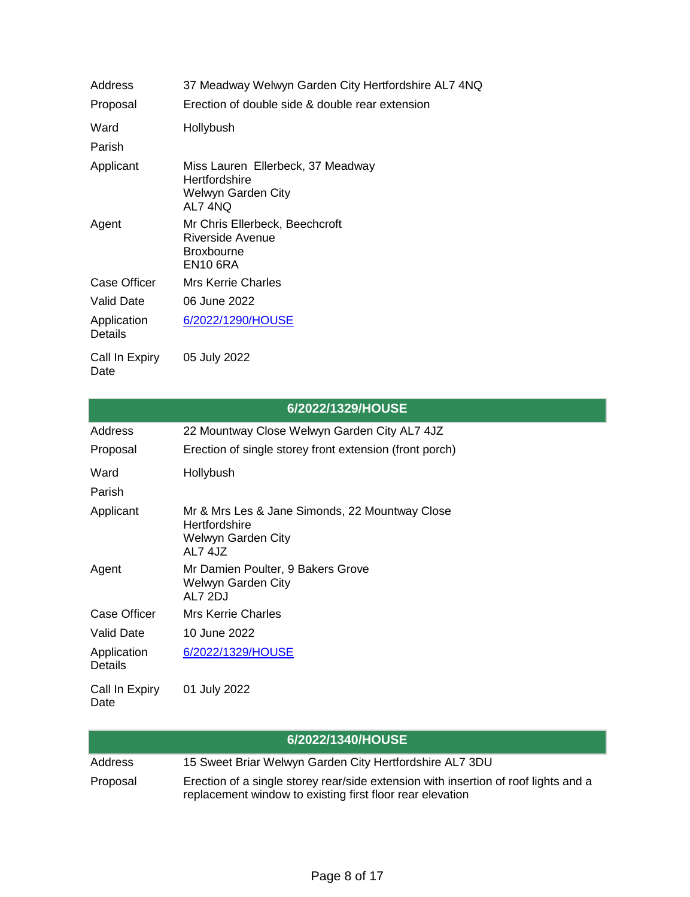| Address                | 37 Meadway Welwyn Garden City Hertfordshire AL7 4NQ                                        |
|------------------------|--------------------------------------------------------------------------------------------|
| Proposal               | Erection of double side & double rear extension                                            |
| Ward                   | Hollybush                                                                                  |
| Parish                 |                                                                                            |
| Applicant              | Miss Lauren Ellerbeck, 37 Meadway<br>Hertfordshire<br><b>Welwyn Garden City</b><br>AL7 4NO |
| Agent                  | Mr Chris Ellerbeck, Beechcroft<br>Riverside Avenue<br><b>Broxbourne</b><br><b>EN10 6RA</b> |
| Case Officer           | <b>Mrs Kerrie Charles</b>                                                                  |
| <b>Valid Date</b>      | 06 June 2022                                                                               |
| Application<br>Details | 6/2022/1290/HOUSE                                                                          |
| Call In Expiry         | 05 July 2022                                                                               |

Date

|                               | 6/2022/1329/HOUSE                                                                                |
|-------------------------------|--------------------------------------------------------------------------------------------------|
| Address                       | 22 Mountway Close Welwyn Garden City AL7 4JZ                                                     |
| Proposal                      | Erection of single storey front extension (front porch)                                          |
| Ward                          | Hollybush                                                                                        |
| Parish                        |                                                                                                  |
| Applicant                     | Mr & Mrs Les & Jane Simonds, 22 Mountway Close<br>Hertfordshire<br>Welwyn Garden City<br>AL7 4JZ |
| Agent                         | Mr Damien Poulter, 9 Bakers Grove<br>Welwyn Garden City<br>AL7 2DJ                               |
| <b>Case Officer</b>           | <b>Mrs Kerrie Charles</b>                                                                        |
| Valid Date                    | 10 June 2022                                                                                     |
| Application<br><b>Details</b> | 6/2022/1329/HOUSE                                                                                |
| Call In Expiry<br>Date        | 01 July 2022                                                                                     |

|          | 6/2022/1340/HOUSE                                                                                                                                |
|----------|--------------------------------------------------------------------------------------------------------------------------------------------------|
| Address  | 15 Sweet Briar Welwyn Garden City Hertfordshire AL7 3DU                                                                                          |
| Proposal | Erection of a single storey rear/side extension with insertion of roof lights and a<br>replacement window to existing first floor rear elevation |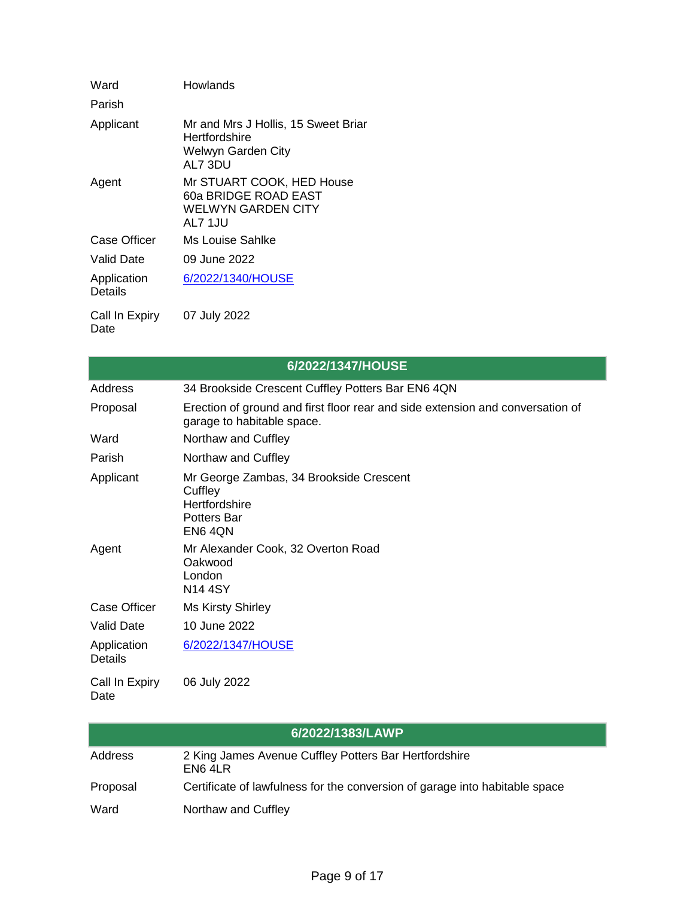| Ward                   | Howlands                                                                              |
|------------------------|---------------------------------------------------------------------------------------|
| Parish                 |                                                                                       |
| Applicant              | Mr and Mrs J Hollis, 15 Sweet Briar<br>Hertfordshire<br>Welwyn Garden City<br>AL7 3DU |
| Agent                  | Mr STUART COOK, HED House<br>60a BRIDGE ROAD EAST<br>WELWYN GARDEN CITY<br>AL7 1JU    |
| Case Officer           | Ms Louise Sahlke                                                                      |
| Valid Date             | 09 June 2022                                                                          |
| Application<br>Details | 6/2022/1340/HOUSE                                                                     |
| Call In Expiry<br>Date | 07 July 2022                                                                          |

|                               | 6/2022/1347/HOUSE                                                                                            |
|-------------------------------|--------------------------------------------------------------------------------------------------------------|
| <b>Address</b>                | 34 Brookside Crescent Cuffley Potters Bar EN6 4QN                                                            |
| Proposal                      | Erection of ground and first floor rear and side extension and conversation of<br>garage to habitable space. |
| Ward                          | Northaw and Cuffley                                                                                          |
| Parish                        | Northaw and Cuffley                                                                                          |
| Applicant                     | Mr George Zambas, 34 Brookside Crescent<br>Cuffley<br>Hertfordshire<br><b>Potters Bar</b><br>EN64ON          |
| Agent                         | Mr Alexander Cook, 32 Overton Road<br>Oakwood<br>London<br><b>N14 4SY</b>                                    |
| <b>Case Officer</b>           | <b>Ms Kirsty Shirley</b>                                                                                     |
| <b>Valid Date</b>             | 10 June 2022                                                                                                 |
| Application<br><b>Details</b> | 6/2022/1347/HOUSE                                                                                            |
| Call In Expiry<br>Date        | 06 July 2022                                                                                                 |

|          | 6/2022/1383/LAWP                                                            |
|----------|-----------------------------------------------------------------------------|
| Address  | 2 King James Avenue Cuffley Potters Bar Hertfordshire<br>EN6 4LR            |
| Proposal | Certificate of lawfulness for the conversion of garage into habitable space |
| Ward     | Northaw and Cuffley                                                         |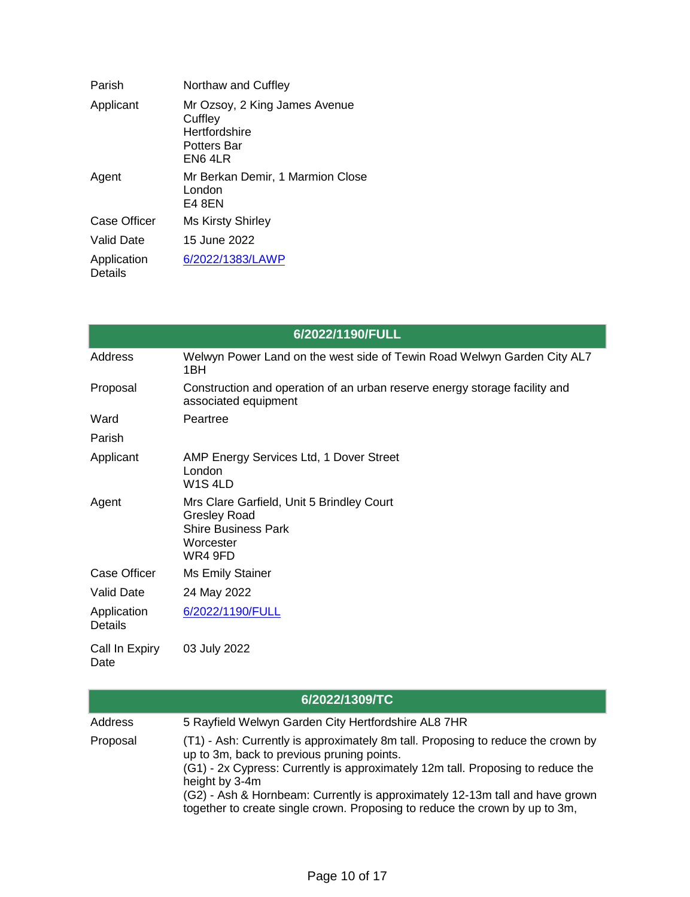| Parish                 | Northaw and Cuffley                                                                 |
|------------------------|-------------------------------------------------------------------------------------|
| Applicant              | Mr Ozsoy, 2 King James Avenue<br>Cuffley<br>Hertfordshire<br>Potters Bar<br>EN6 4LR |
| Agent                  | Mr Berkan Demir, 1 Marmion Close<br>London<br>E4 8EN                                |
| Case Officer           | <b>Ms Kirsty Shirley</b>                                                            |
| Valid Date             | 15 June 2022                                                                        |
| Application<br>Details | 6/2022/1383/LAWP                                                                    |

| 6/2022/1190/FULL              |                                                                                                                        |  |
|-------------------------------|------------------------------------------------------------------------------------------------------------------------|--|
| Address                       | Welwyn Power Land on the west side of Tewin Road Welwyn Garden City AL7<br>1BH                                         |  |
| Proposal                      | Construction and operation of an urban reserve energy storage facility and<br>associated equipment                     |  |
| Ward                          | Peartree                                                                                                               |  |
| Parish                        |                                                                                                                        |  |
| Applicant                     | AMP Energy Services Ltd, 1 Dover Street<br>London<br>W <sub>1</sub> S <sub>4LD</sub>                                   |  |
| Agent                         | Mrs Clare Garfield, Unit 5 Brindley Court<br><b>Gresley Road</b><br><b>Shire Business Park</b><br>Worcester<br>WR4 9FD |  |
| <b>Case Officer</b>           | Ms Emily Stainer                                                                                                       |  |
| <b>Valid Date</b>             | 24 May 2022                                                                                                            |  |
| Application<br><b>Details</b> | 6/2022/1190/FULL                                                                                                       |  |
| Call In Expiry<br>Date        | 03 July 2022                                                                                                           |  |

|          | 6/2022/1309/TC                                                                                                                                                                                                                                                                                                                                                                                     |
|----------|----------------------------------------------------------------------------------------------------------------------------------------------------------------------------------------------------------------------------------------------------------------------------------------------------------------------------------------------------------------------------------------------------|
| Address  | 5 Rayfield Welwyn Garden City Hertfordshire AL8 7HR                                                                                                                                                                                                                                                                                                                                                |
| Proposal | (T1) - Ash: Currently is approximately 8m tall. Proposing to reduce the crown by<br>up to 3m, back to previous pruning points.<br>(G1) - 2x Cypress: Currently is approximately 12m tall. Proposing to reduce the<br>height by 3-4m<br>(G2) - Ash & Hornbeam: Currently is approximately 12-13m tall and have grown<br>together to create single crown. Proposing to reduce the crown by up to 3m, |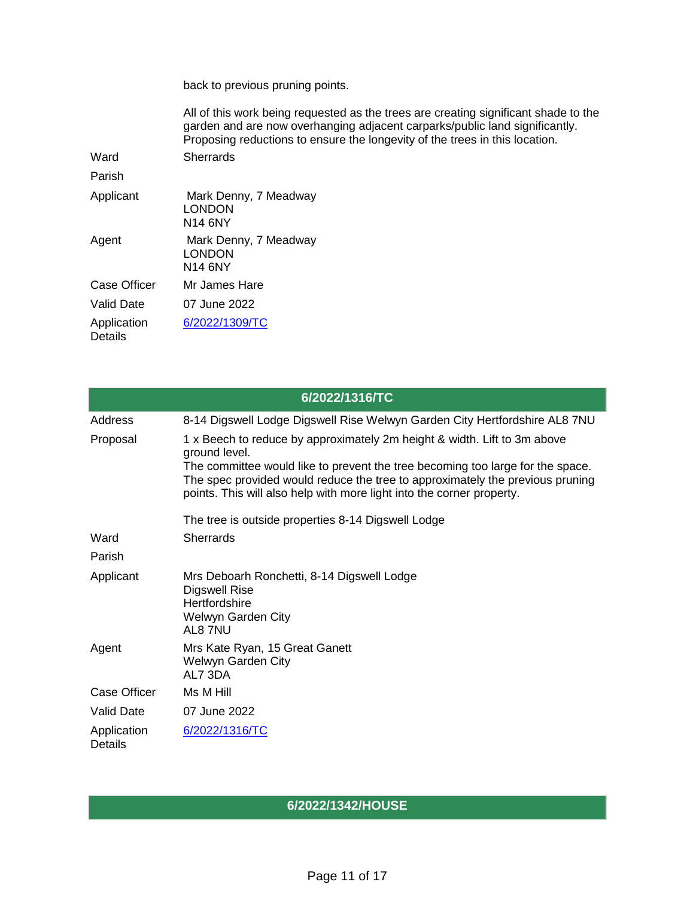back to previous pruning points.

All of this work being requested as the trees are creating significant shade to the garden and are now overhanging adjacent carparks/public land significantly. Proposing reductions to ensure the longevity of the trees in this location.

Ward Sherrards

Parish

Applicant Mark Denny, 7 Meadway LONDON N14 6NY Agent Mark Denny, 7 Meadway LONDON N14 6NY Case Officer Mr James Hare Valid Date 07 June 2022 Application **Details** [6/2022/1309/TC](https://planning.welhat.gov.uk/planning/display/6/2022/1309/TC)

|                               | 6/2022/1316/TC                                                                                                                                                                                                                                                                                                                        |
|-------------------------------|---------------------------------------------------------------------------------------------------------------------------------------------------------------------------------------------------------------------------------------------------------------------------------------------------------------------------------------|
| Address                       | 8-14 Digswell Lodge Digswell Rise Welwyn Garden City Hertfordshire AL8 7NU                                                                                                                                                                                                                                                            |
| Proposal                      | 1 x Beech to reduce by approximately 2m height & width. Lift to 3m above<br>ground level.<br>The committee would like to prevent the tree becoming too large for the space.<br>The spec provided would reduce the tree to approximately the previous pruning<br>points. This will also help with more light into the corner property. |
|                               | The tree is outside properties 8-14 Digswell Lodge                                                                                                                                                                                                                                                                                    |
| Ward                          | <b>Sherrards</b>                                                                                                                                                                                                                                                                                                                      |
| Parish                        |                                                                                                                                                                                                                                                                                                                                       |
| Applicant                     | Mrs Deboarh Ronchetti, 8-14 Digswell Lodge<br><b>Digswell Rise</b><br>Hertfordshire<br>Welwyn Garden City<br>AL87NU                                                                                                                                                                                                                   |
| Agent                         | Mrs Kate Ryan, 15 Great Ganett<br>Welwyn Garden City<br>AL7 3DA                                                                                                                                                                                                                                                                       |
| Case Officer                  | Ms M Hill                                                                                                                                                                                                                                                                                                                             |
| <b>Valid Date</b>             | 07 June 2022                                                                                                                                                                                                                                                                                                                          |
| Application<br><b>Details</b> | 6/2022/1316/TC                                                                                                                                                                                                                                                                                                                        |

**6/2022/1342/HOUSE**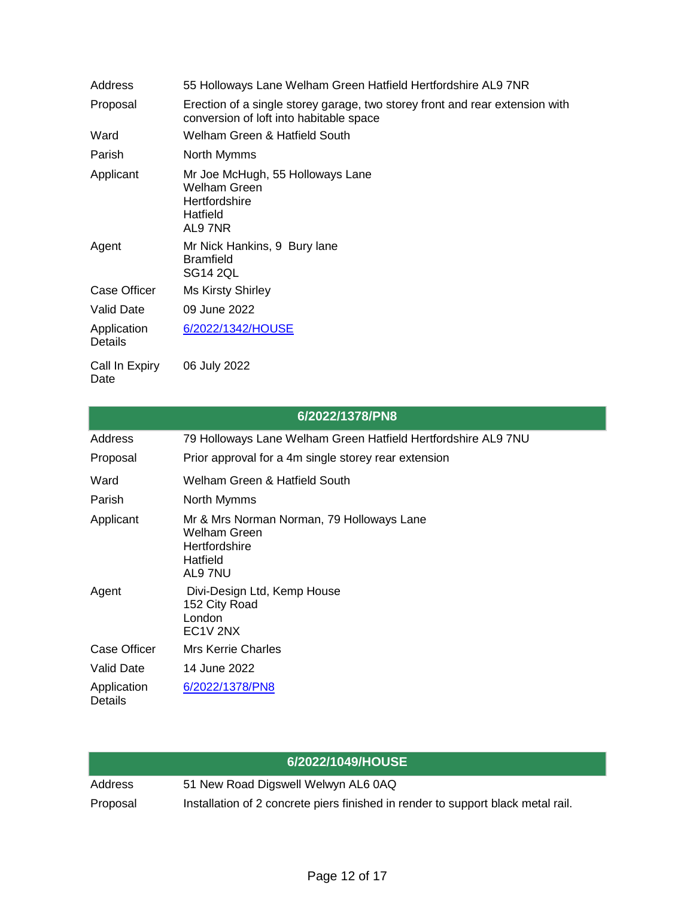| Address                       | 55 Holloways Lane Welham Green Hatfield Hertfordshire AL9 7NR                                                           |
|-------------------------------|-------------------------------------------------------------------------------------------------------------------------|
| Proposal                      | Erection of a single storey garage, two storey front and rear extension with<br>conversion of loft into habitable space |
| Ward                          | Welham Green & Hatfield South                                                                                           |
| Parish                        | North Mymms                                                                                                             |
| Applicant                     | Mr Joe McHugh, 55 Holloways Lane<br>Welham Green<br>Hertfordshire<br>Hatfield<br>AL97NR                                 |
| Agent                         | Mr Nick Hankins, 9 Bury lane<br><b>Bramfield</b><br><b>SG14 2QL</b>                                                     |
| <b>Case Officer</b>           | <b>Ms Kirsty Shirley</b>                                                                                                |
| <b>Valid Date</b>             | 09 June 2022                                                                                                            |
| Application<br><b>Details</b> | 6/2022/1342/HOUSE                                                                                                       |
| Call In Expiry                | 06 July 2022                                                                                                            |

Date

| 6/2022/1378/PN8               |                                                                                                          |  |
|-------------------------------|----------------------------------------------------------------------------------------------------------|--|
| Address                       | 79 Holloways Lane Welham Green Hatfield Hertfordshire AL9 7NU                                            |  |
| Proposal                      | Prior approval for a 4m single storey rear extension                                                     |  |
| Ward                          | Welham Green & Hatfield South                                                                            |  |
| Parish                        | North Mymms                                                                                              |  |
| Applicant                     | Mr & Mrs Norman Norman, 79 Holloways Lane<br><b>Welham Green</b><br>Hertfordshire<br>Hatfield<br>AL9 7NU |  |
| Agent                         | Divi-Design Ltd, Kemp House<br>152 City Road<br>London<br>EC <sub>1</sub> V <sub>2NX</sub>               |  |
| <b>Case Officer</b>           | Mrs Kerrie Charles                                                                                       |  |
| Valid Date                    | 14 June 2022                                                                                             |  |
| Application<br><b>Details</b> | 6/2022/1378/PN8                                                                                          |  |

|          | 6/2022/1049/HOUSE                                                                |
|----------|----------------------------------------------------------------------------------|
| Address  | 51 New Road Digswell Welwyn AL6 0AQ                                              |
| Proposal | Installation of 2 concrete piers finished in render to support black metal rail. |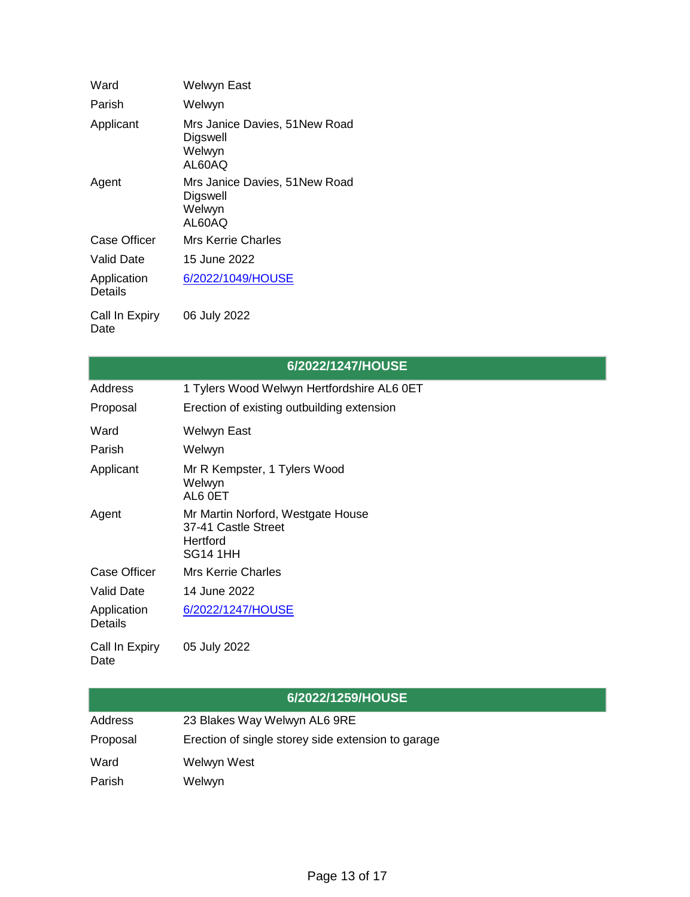| Ward                   | <b>Welwyn East</b>                                            |
|------------------------|---------------------------------------------------------------|
| Parish                 | Welwyn                                                        |
| Applicant              | Mrs Janice Davies, 51New Road<br>Digswell<br>Welwyn<br>AL60AQ |
| Agent                  | Mrs Janice Davies, 51New Road<br>Digswell<br>Welwyn<br>AL60AQ |
| Case Officer           | Mrs Kerrie Charles                                            |
| Valid Date             | 15 June 2022                                                  |
| Application<br>Details | 6/2022/1049/HOUSE                                             |
| Call In Expiry<br>Date | 06 July 2022                                                  |

|                               | 6/2022/1247/HOUSE                                                                       |
|-------------------------------|-----------------------------------------------------------------------------------------|
| Address                       | 1 Tylers Wood Welwyn Hertfordshire AL6 0ET                                              |
| Proposal                      | Erection of existing outbuilding extension                                              |
| Ward                          | Welwyn East                                                                             |
| Parish                        | Welwyn                                                                                  |
| Applicant                     | Mr R Kempster, 1 Tylers Wood<br>Welwyn<br>AL6 0ET                                       |
| Agent                         | Mr Martin Norford, Westgate House<br>37-41 Castle Street<br>Hertford<br><b>SG14 1HH</b> |
| <b>Case Officer</b>           | <b>Mrs Kerrie Charles</b>                                                               |
| <b>Valid Date</b>             | 14 June 2022                                                                            |
| Application<br><b>Details</b> | 6/2022/1247/HOUSE                                                                       |
| Call In Expiry<br>Date        | 05 July 2022                                                                            |

|          | 6/2022/1259/HOUSE                                  |
|----------|----------------------------------------------------|
| Address  | 23 Blakes Way Welwyn AL6 9RE                       |
| Proposal | Erection of single storey side extension to garage |
| Ward     | Welwyn West                                        |
| Parish   | Welwyn                                             |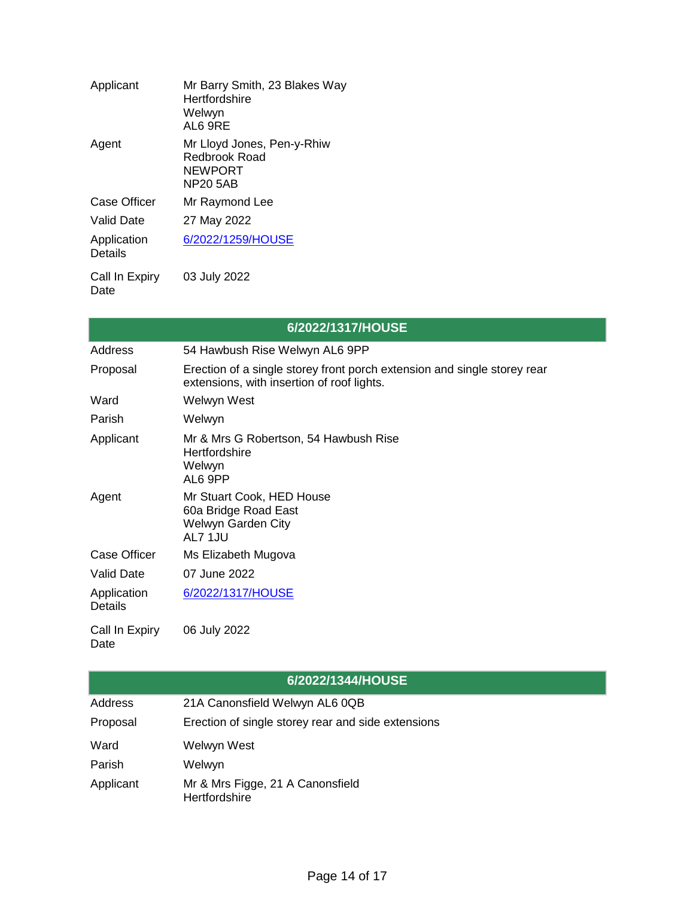| Applicant              | Mr Barry Smith, 23 Blakes Way<br>Hertfordshire<br>Welwyn<br>AL6 9RE                     |
|------------------------|-----------------------------------------------------------------------------------------|
| Agent                  | Mr Lloyd Jones, Pen-y-Rhiw<br><b>Redbrook Road</b><br><b>NFWPORT</b><br><b>NP20 5AB</b> |
| Case Officer           | Mr Raymond Lee                                                                          |
| <b>Valid Date</b>      | 27 May 2022                                                                             |
| Application<br>Details | 6/2022/1259/HOUSE                                                                       |
| Call In Expiry<br>Date | 03 July 2022                                                                            |

|                               | 6/2022/1317/HOUSE                                                                                                      |
|-------------------------------|------------------------------------------------------------------------------------------------------------------------|
| Address                       | 54 Hawbush Rise Welwyn AL6 9PP                                                                                         |
| Proposal                      | Erection of a single storey front porch extension and single storey rear<br>extensions, with insertion of roof lights. |
| Ward                          | Welwyn West                                                                                                            |
| Parish                        | Welwyn                                                                                                                 |
| Applicant                     | Mr & Mrs G Robertson, 54 Hawbush Rise<br>Hertfordshire<br>Welwyn<br>AL6 9PP                                            |
| Agent                         | Mr Stuart Cook, HED House<br>60a Bridge Road East<br>Welwyn Garden City<br>AL7 1JU                                     |
| Case Officer                  | Ms Elizabeth Mugova                                                                                                    |
| <b>Valid Date</b>             | 07 June 2022                                                                                                           |
| Application<br><b>Details</b> | 6/2022/1317/HOUSE                                                                                                      |
| Call In Expiry<br>Date        | 06 July 2022                                                                                                           |

| 6/2022/1344/HOUSE |  |  |
|-------------------|--|--|
|                   |  |  |

| Address   | 21A Canonsfield Welwyn AL6 0QB                     |
|-----------|----------------------------------------------------|
| Proposal  | Erection of single storey rear and side extensions |
| Ward      | Welwyn West                                        |
| Parish    | Welwyn                                             |
| Applicant | Mr & Mrs Figge, 21 A Canonsfield<br>Hertfordshire  |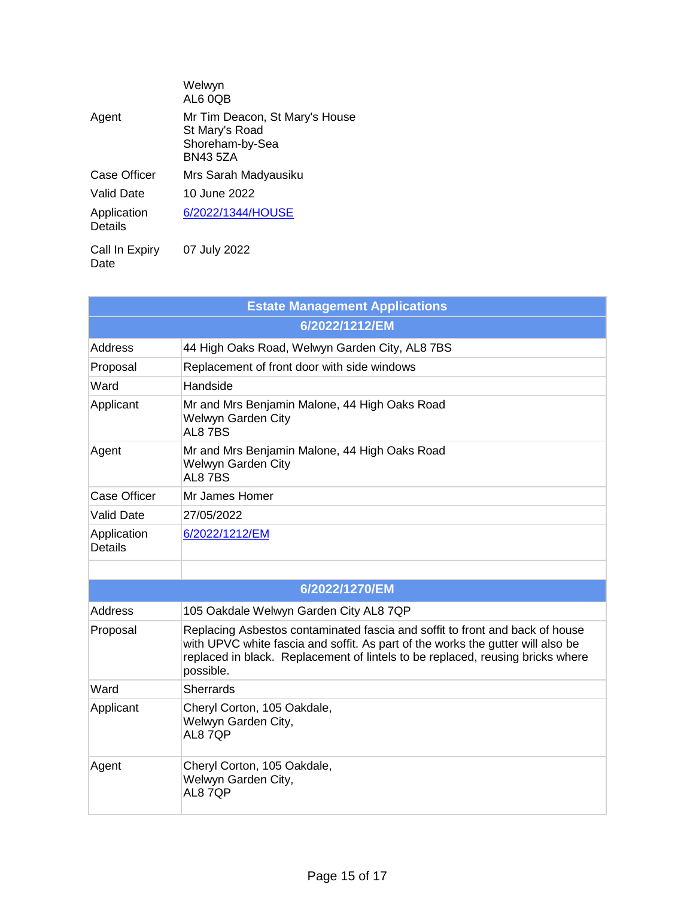|                               | Welwyn<br>AL6 0QB                                                                      |
|-------------------------------|----------------------------------------------------------------------------------------|
| Agent                         | Mr Tim Deacon, St Mary's House<br>St Mary's Road<br>Shoreham-by-Sea<br><b>BN43 5ZA</b> |
| Case Officer                  | Mrs Sarah Madyausiku                                                                   |
| Valid Date                    | 10 June 2022                                                                           |
| Application<br><b>Details</b> | 6/2022/1344/HOUSE                                                                      |
| Call In Expiry                | 07 July 2022                                                                           |

Date

| <b>Estate Management Applications</b> |                                                                                                                                                                                                                                                                |
|---------------------------------------|----------------------------------------------------------------------------------------------------------------------------------------------------------------------------------------------------------------------------------------------------------------|
|                                       | 6/2022/1212/EM                                                                                                                                                                                                                                                 |
| Address                               | 44 High Oaks Road, Welwyn Garden City, AL8 7BS                                                                                                                                                                                                                 |
| Proposal                              | Replacement of front door with side windows                                                                                                                                                                                                                    |
| Ward                                  | Handside                                                                                                                                                                                                                                                       |
| Applicant                             | Mr and Mrs Benjamin Malone, 44 High Oaks Road<br>Welwyn Garden City<br>AL8 7BS                                                                                                                                                                                 |
| Agent                                 | Mr and Mrs Benjamin Malone, 44 High Oaks Road<br>Welwyn Garden City<br>AL87BS                                                                                                                                                                                  |
| <b>Case Officer</b>                   | Mr James Homer                                                                                                                                                                                                                                                 |
| <b>Valid Date</b>                     | 27/05/2022                                                                                                                                                                                                                                                     |
| Application<br><b>Details</b>         | 6/2022/1212/EM                                                                                                                                                                                                                                                 |
|                                       |                                                                                                                                                                                                                                                                |
|                                       | 6/2022/1270/EM                                                                                                                                                                                                                                                 |
| Address                               | 105 Oakdale Welwyn Garden City AL8 7QP                                                                                                                                                                                                                         |
| Proposal                              | Replacing Asbestos contaminated fascia and soffit to front and back of house<br>with UPVC white fascia and soffit. As part of the works the gutter will also be<br>replaced in black. Replacement of lintels to be replaced, reusing bricks where<br>possible. |
| Ward                                  | <b>Sherrards</b>                                                                                                                                                                                                                                               |
| Applicant                             | Cheryl Corton, 105 Oakdale,<br>Welwyn Garden City,<br>AL87QP                                                                                                                                                                                                   |
| Agent                                 | Cheryl Corton, 105 Oakdale,<br>Welwyn Garden City,<br>AL87QP                                                                                                                                                                                                   |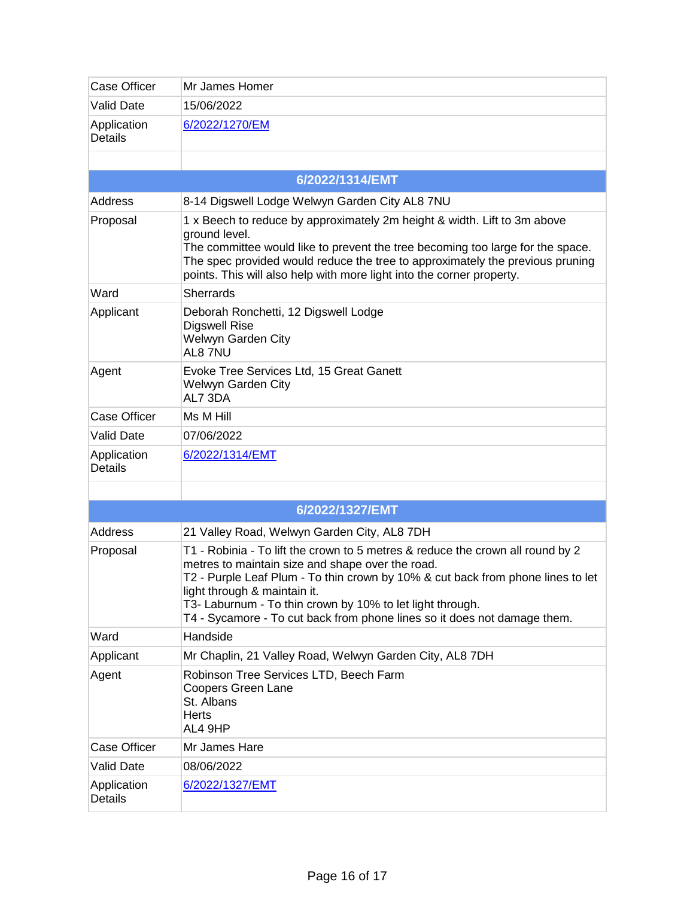| <b>Case Officer</b>           | Mr James Homer                                                                                                                                                                                                                                                                                                                                                                                 |
|-------------------------------|------------------------------------------------------------------------------------------------------------------------------------------------------------------------------------------------------------------------------------------------------------------------------------------------------------------------------------------------------------------------------------------------|
| <b>Valid Date</b>             | 15/06/2022                                                                                                                                                                                                                                                                                                                                                                                     |
| Application<br><b>Details</b> | 6/2022/1270/EM                                                                                                                                                                                                                                                                                                                                                                                 |
|                               |                                                                                                                                                                                                                                                                                                                                                                                                |
|                               | 6/2022/1314/EMT                                                                                                                                                                                                                                                                                                                                                                                |
| Address                       | 8-14 Digswell Lodge Welwyn Garden City AL8 7NU                                                                                                                                                                                                                                                                                                                                                 |
| Proposal                      | 1 x Beech to reduce by approximately 2m height & width. Lift to 3m above<br>ground level.<br>The committee would like to prevent the tree becoming too large for the space.<br>The spec provided would reduce the tree to approximately the previous pruning<br>points. This will also help with more light into the corner property.                                                          |
| Ward                          | <b>Sherrards</b>                                                                                                                                                                                                                                                                                                                                                                               |
| Applicant                     | Deborah Ronchetti, 12 Digswell Lodge<br><b>Digswell Rise</b><br>Welwyn Garden City<br>AL8 7NU                                                                                                                                                                                                                                                                                                  |
| Agent                         | Evoke Tree Services Ltd, 15 Great Ganett<br>Welwyn Garden City<br>AL7 3DA                                                                                                                                                                                                                                                                                                                      |
| <b>Case Officer</b>           | Ms M Hill                                                                                                                                                                                                                                                                                                                                                                                      |
| <b>Valid Date</b>             | 07/06/2022                                                                                                                                                                                                                                                                                                                                                                                     |
| Application<br><b>Details</b> | 6/2022/1314/EMT                                                                                                                                                                                                                                                                                                                                                                                |
|                               |                                                                                                                                                                                                                                                                                                                                                                                                |
|                               | 6/2022/1327/EMT                                                                                                                                                                                                                                                                                                                                                                                |
| Address                       | 21 Valley Road, Welwyn Garden City, AL8 7DH                                                                                                                                                                                                                                                                                                                                                    |
| Proposal                      | T1 - Robinia - To lift the crown to 5 metres & reduce the crown all round by 2<br>metres to maintain size and shape over the road.<br>T2 - Purple Leaf Plum - To thin crown by 10% & cut back from phone lines to let<br>light through & maintain it.<br>T3- Laburnum - To thin crown by 10% to let light through.<br>T4 - Sycamore - To cut back from phone lines so it does not damage them. |
| Ward                          | Handside                                                                                                                                                                                                                                                                                                                                                                                       |
| Applicant                     | Mr Chaplin, 21 Valley Road, Welwyn Garden City, AL8 7DH                                                                                                                                                                                                                                                                                                                                        |
| Agent                         | Robinson Tree Services LTD, Beech Farm<br><b>Coopers Green Lane</b><br>St. Albans<br><b>Herts</b><br>AL4 9HP                                                                                                                                                                                                                                                                                   |
| <b>Case Officer</b>           | Mr James Hare                                                                                                                                                                                                                                                                                                                                                                                  |
| <b>Valid Date</b>             | 08/06/2022                                                                                                                                                                                                                                                                                                                                                                                     |
| Application<br><b>Details</b> | 6/2022/1327/EMT                                                                                                                                                                                                                                                                                                                                                                                |